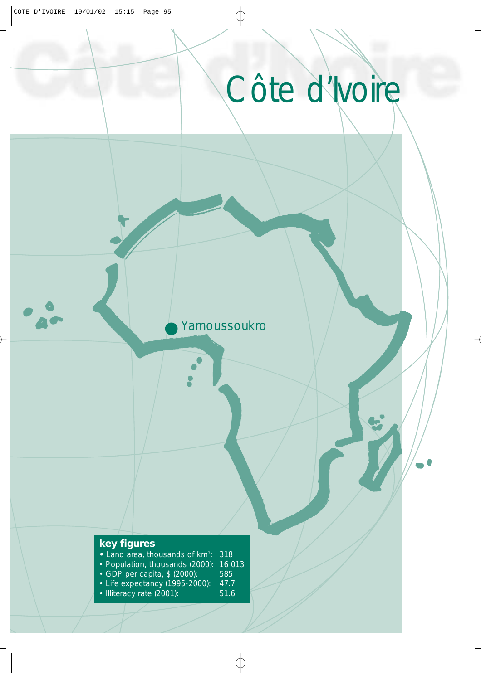# Yamoussoukro

# **key figures**

- Land area, thousands of km<sup>2</sup>: 318
- Population, thousands (2000): 16 013
- GDP per capita, \$ (2000): 585
- Life expectancy (1995-2000): 47.7
- Illiteracy rate (2001): 51.6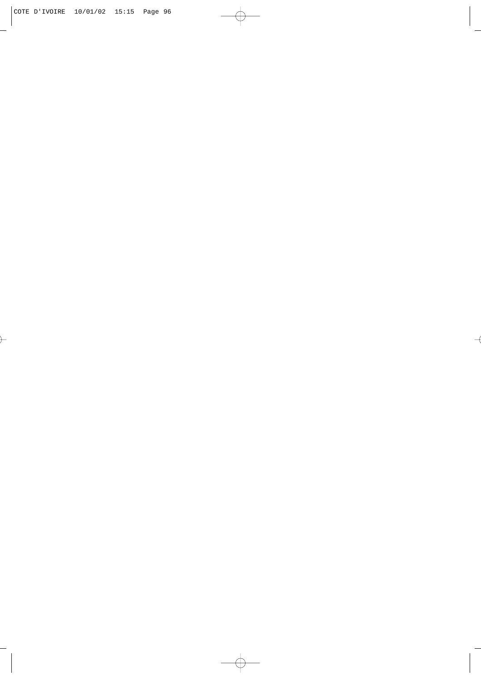$\overline{+}$ 

 $\begin{array}{c} \begin{array}{c} \begin{array}{c} \end{array} \\ \begin{array}{c} \end{array} \end{array} \end{array}$ 

 $\begin{tabular}{c} \multicolumn{1}{c} {\textbf{A}} \\ \multicolumn{1}{c} {\textbf{B}} \\ \multicolumn{1}{c} {\textbf{C}} \\ \multicolumn{1}{c} {\textbf{D}} \\ \multicolumn{1}{c} {\textbf{A}} \\ \multicolumn{1}{c} {\textbf{A}} \\ \multicolumn{1}{c} {\textbf{A}} \\ \multicolumn{1}{c} {\textbf{A}} \\ \multicolumn{1}{c} {\textbf{A}} \\ \multicolumn{1}{c} {\textbf{A}} \\ \multicolumn{1}{c} {\textbf{A}} \\ \multicolumn{1}{c} {\textbf{A}} \\ \multicolumn{1}{c} {\textbf{A}} \\ \multicolumn$ 

 $\longrightarrow$ 

 $\begin{array}{c} \hline \end{array}$ 

Ī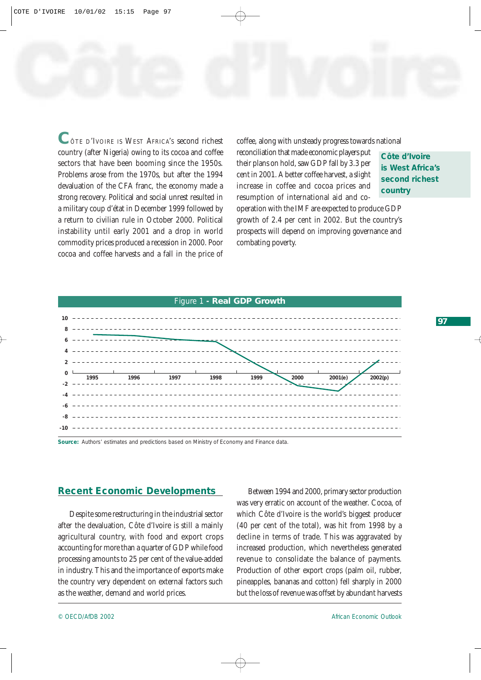CÔTE D'IVOIRE IS WEST AFRICA'S second richest country (after Nigeria) owing to its cocoa and coffee sectors that have been booming since the 1950s. Problems arose from the 1970s, but after the 1994 devaluation of the CFA franc, the economy made a strong recovery. Political and social unrest resulted in a military coup d'état in December 1999 followed by a return to civilian rule in October 2000. Political instability until early 2001 and a drop in world commodity prices produced a recession in 2000. Poor cocoa and coffee harvests and a fall in the price of

coffee, along with unsteady progress towards national

reconciliation that made economic players put their plans on hold, saw GDP fall by 3.3 per cent in 2001. A better coffee harvest, a slight increase in coffee and cocoa prices and resumption of international aid and cooperation with the IMF are expected to produce GDP growth of 2.4 per cent in 2002. But the country's prospects will depend on improving governance and combating poverty.

# **Côte d'Ivoire is West Africa's second richest country**

*97*



**Source:** Authors' estimates and predictions based on Ministry of Economy and Finance data.

# **Recent Economic Developments**

Despite some restructuring in the industrial sector after the devaluation, Côte d'Ivoire is still a mainly agricultural country, with food and export crops accounting for more than a quarter of GDP while food processing amounts to 25 per cent of the value-added in industry. This and the importance of exports make the country very dependent on external factors such as the weather, demand and world prices.

Between 1994 and 2000, primary sector production was very erratic on account of the weather. Cocoa, of which Côte d'Ivoire is the world's biggest producer (40 per cent of the total), was hit from 1998 by a decline in terms of trade. This was aggravated by increased production, which nevertheless generated revenue to consolidate the balance of payments. Production of other export crops (palm oil, rubber, pineapples, bananas and cotton) fell sharply in 2000 but the loss of revenue was offset by abundant harvests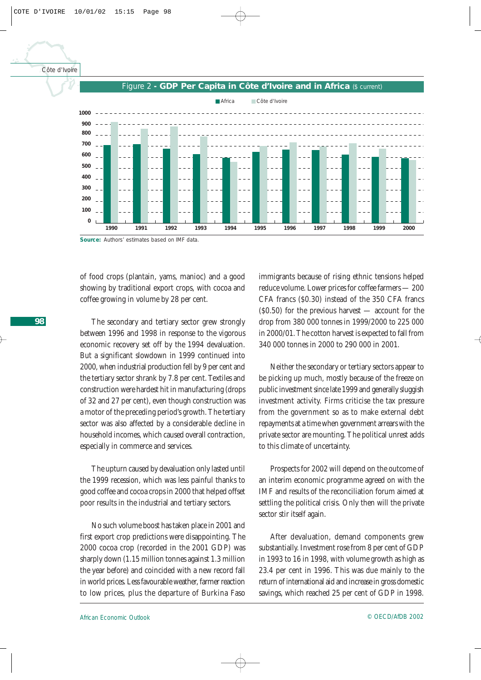*98*

Figure 2 **- GDP Per Capita in Côte d'Ivoire and in Africa** (\$ current)



**Source:** Authors' estimates based on IMF data.

of food crops (plantain, yams, manioc) and a good showing by traditional export crops, with cocoa and coffee growing in volume by 28 per cent.

The secondary and tertiary sector grew strongly between 1996 and 1998 in response to the vigorous economic recovery set off by the 1994 devaluation. But a significant slowdown in 1999 continued into 2000, when industrial production fell by 9 per cent and the tertiary sector shrank by 7.8 per cent. Textiles and construction were hardest hit in manufacturing (drops of 32 and 27 per cent), even though construction was a motor of the preceding period's growth. The tertiary sector was also affected by a considerable decline in household incomes, which caused overall contraction, especially in commerce and services.

The upturn caused by devaluation only lasted until the 1999 recession, which was less painful thanks to good coffee and cocoa crops in 2000 that helped offset poor results in the industrial and tertiary sectors.

No such volume boost has taken place in 2001 and first export crop predictions were disappointing. The 2000 cocoa crop (recorded in the 2001 GDP) was sharply down (1.15 million tonnes against 1.3 million the year before) and coincided with a new record fall in world prices. Less favourable weather, farmer reaction to low prices, plus the departure of Burkina Faso

immigrants because of rising ethnic tensions helped reduce volume. Lower prices for coffee farmers — 200 CFA francs (\$0.30) instead of the 350 CFA francs (\$0.50) for the previous harvest — account for the drop from 380 000 tonnes in 1999/2000 to 225 000 in 2000/01. The cotton harvest is expected to fall from 340 000 tonnes in 2000 to 290 000 in 2001.

Neither the secondary or tertiary sectors appear to be picking up much, mostly because of the freeze on public investment since late 1999 and generally sluggish investment activity. Firms criticise the tax pressure from the government so as to make external debt repayments at a time when government arrears with the private sector are mounting. The political unrest adds to this climate of uncertainty.

Prospects for 2002 will depend on the outcome of an interim economic programme agreed on with the IMF and results of the reconciliation forum aimed at settling the political crisis. Only then will the private sector stir itself again.

After devaluation, demand components grew substantially. Investment rose from 8 per cent of GDP in 1993 to 16 in 1998, with volume growth as high as 23.4 per cent in 1996. This was due mainly to the return of international aid and increase in gross domestic savings, which reached 25 per cent of GDP in 1998.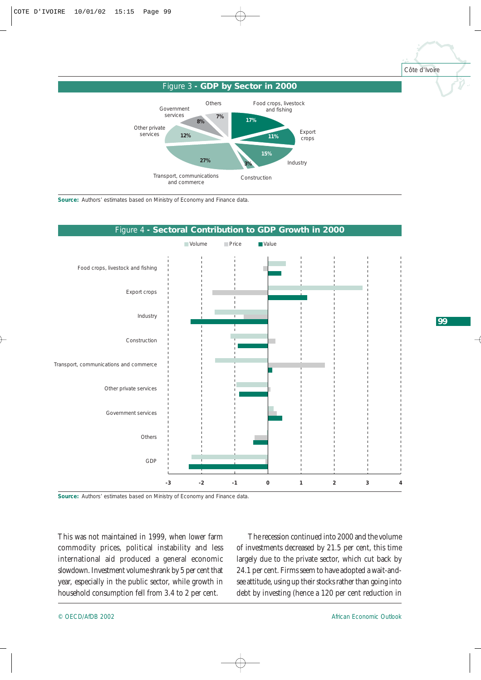*99*



**Source:** Authors' estimates based on Ministry of Economy and Finance data.



**Source:** Authors' estimates based on Ministry of Economy and Finance data.

This was not maintained in 1999, when lower farm commodity prices, political instability and less international aid produced a general economic slowdown. Investment volume shrank by 5 per cent that year, especially in the public sector, while growth in household consumption fell from 3.4 to 2 per cent.

The recession continued into 2000 and the volume of investments decreased by 21.5 per cent, this time largely due to the private sector, which cut back by 24.1 per cent. Firms seem to have adopted a wait-andsee attitude, using up their stocks rather than going into debt by investing (hence a 120 per cent reduction in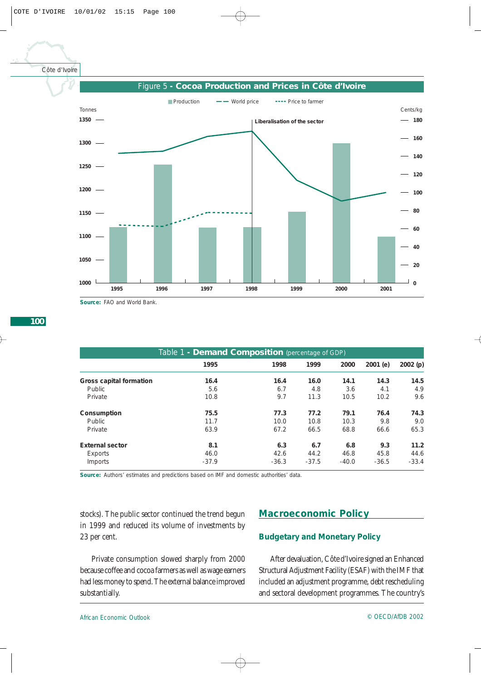Figure 5 **- Cocoa Production and Prices in Côte d'Ivoire** 



**Source:** FAO and World Bank.

|                         | Table 1 - Demand Composition (percentage of GDP) |         |         |         |         |         |  |
|-------------------------|--------------------------------------------------|---------|---------|---------|---------|---------|--|
|                         | 1995                                             | 1998    | 1999    | 2000    | 2001(e) | 2002(p) |  |
| Gross capital formation | 16.4                                             | 16.4    | 16.0    | 14.1    | 14.3    | 14.5    |  |
| Public                  | 5.6                                              | 6.7     | 4.8     | 3.6     | 4.1     | 4.9     |  |
| Private                 | 10.8                                             | 9.7     | 11.3    | 10.5    | 10.2    | 9.6     |  |
| Consumption             | 75.5                                             | 77.3    | 77.2    | 79.1    | 76.4    | 74.3    |  |
| Public                  | 11.7                                             | 10.0    | 10.8    | 10.3    | 9.8     | 9.0     |  |
| Private                 | 63.9                                             | 67.2    | 66.5    | 68.8    | 66.6    | 65.3    |  |
| <b>External sector</b>  | 8.1                                              | 6.3     | 6.7     | 6.8     | 9.3     | 11.2    |  |
| Exports                 | 46.0                                             | 42.6    | 44.2    | 46.8    | 45.8    | 44.6    |  |
| Imports                 | $-37.9$                                          | $-36.3$ | $-37.5$ | $-40.0$ | $-36.5$ | $-33.4$ |  |

**Source:** Authors' estimates and predictions based on IMF and domestic authorities' data.

stocks). The public sector continued the trend begun in 1999 and reduced its volume of investments by 23 per cent.

# **Macroeconomic Policy**

#### *Budgetary and Monetary Policy*

Private consumption slowed sharply from 2000 because coffee and cocoa farmers as well as wage earners had less money to spend. The external balance improved substantially.

After devaluation, Côte d'Ivoire signed an Enhanced Structural Adjustment Facility (ESAF) with the IMF that included an adjustment programme, debt rescheduling and sectoral development programmes. The country's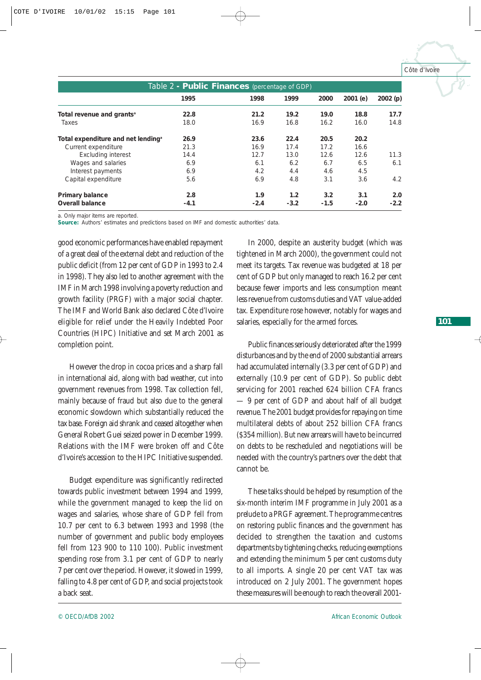*101*

| Table 2 - Public Finances (percentage of GDP)  |        |        |        |        |         |         |  |
|------------------------------------------------|--------|--------|--------|--------|---------|---------|--|
|                                                | 1995   | 1998   | 1999   | 2000   | 2001(e) | 2002(p) |  |
| Total revenue and grants <sup>a</sup>          | 22.8   | 21.2   | 19.2   | 19.0   | 18.8    | 17.7    |  |
| Taxes                                          | 18.0   | 16.9   | 16.8   | 16.2   | 16.0    | 14.8    |  |
| Total expenditure and net lending <sup>a</sup> | 26.9   | 23.6   | 22.4   | 20.5   | 20.2    |         |  |
| Current expenditure                            | 21.3   | 16.9   | 17.4   | 17.2   | 16.6    |         |  |
| <b>Excluding interest</b>                      | 14.4   | 12.7   | 13.0   | 12.6   | 12.6    | 11.3    |  |
| Wages and salaries                             | 6.9    | 6.1    | 6.2    | 6.7    | 6.5     | 6.1     |  |
| Interest payments                              | 6.9    | 4.2    | 4.4    | 4.6    | 4.5     |         |  |
| Capital expenditure                            | 5.6    | 6.9    | 4.8    | 3.1    | 3.6     | 4.2     |  |
| Primary balance                                | 2.8    | 1.9    | 1.2    | 3.2    | 3.1     | 2.0     |  |
| <b>Overall balance</b>                         | $-4.1$ | $-2.4$ | $-3.2$ | $-1.5$ | $-2.0$  | $-2.2$  |  |

a. Only major items are reported.

**Source:** Authors' estimates and predictions based on IMF and domestic authorities' data.

good economic performances have enabled repayment of a great deal of the external debt and reduction of the public deficit (from 12 per cent of GDP in 1993 to 2.4 in 1998). They also led to another agreement with the IMF in March 1998 involving a poverty reduction and growth facility (PRGF) with a major social chapter. The IMF and World Bank also declared Côte d'Ivoire eligible for relief under the Heavily Indebted Poor Countries (HIPC) Initiative and set March 2001 as completion point.

However the drop in cocoa prices and a sharp fall in international aid, along with bad weather, cut into government revenues from 1998. Tax collection fell, mainly because of fraud but also due to the general economic slowdown which substantially reduced the tax base. Foreign aid shrank and ceased altogether when General Robert Guei seized power in December 1999. Relations with the IMF were broken off and Côte d'Ivoire's accession to the HIPC Initiative suspended.

Budget expenditure was significantly redirected towards public investment between 1994 and 1999, while the government managed to keep the lid on wages and salaries, whose share of GDP fell from 10.7 per cent to 6.3 between 1993 and 1998 (the number of government and public body employees fell from 123 900 to 110 100). Public investment spending rose from 3.1 per cent of GDP to nearly 7 per cent over the period. However, it slowed in 1999, falling to 4.8 per cent of GDP, and social projects took a back seat.

In 2000, despite an austerity budget (which was tightened in March 2000), the government could not meet its targets. Tax revenue was budgeted at 18 per cent of GDP but only managed to reach 16.2 per cent because fewer imports and less consumption meant less revenue from customs duties and VAT value-added tax. Expenditure rose however, notably for wages and salaries, especially for the armed forces.

Public finances seriously deteriorated after the 1999 disturbances and by the end of 2000 substantial arrears had accumulated internally (3.3 per cent of GDP) and externally (10.9 per cent of GDP). So public debt servicing for 2001 reached 624 billion CFA francs — 9 per cent of GDP and about half of all budget revenue. The 2001 budget provides for repaying on time multilateral debts of about 252 billion CFA francs (\$354 million). But new arrears will have to be incurred on debts to be rescheduled and negotiations will be needed with the country's partners over the debt that cannot be.

These talks should be helped by resumption of the six-month interim IMF programme in July 2001 as a prelude to a PRGF agreement. The programme centres on restoring public finances and the government has decided to strengthen the taxation and customs departments by tightening checks, reducing exemptions and extending the minimum 5 per cent customs duty to all imports. A single 20 per cent VAT tax was introduced on 2 July 2001. The government hopes these measures will be enough to reach the overall 2001-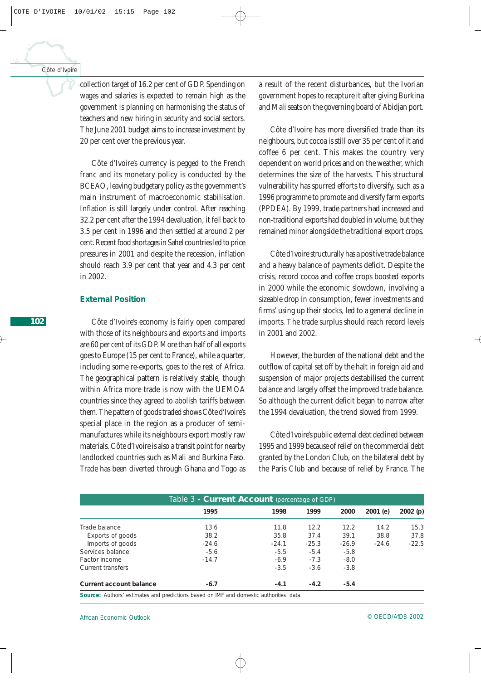collection target of 16.2 per cent of GDP. Spending on wages and salaries is expected to remain high as the government is planning on harmonising the status of teachers and new hiring in security and social sectors. The June 2001 budget aims to increase investment by 20 per cent over the previous year.

Côte d'Ivoire's currency is pegged to the French franc and its monetary policy is conducted by the BCEAO, leaving budgetary policy as the government's main instrument of macroeconomic stabilisation. Inflation is still largely under control. After reaching 32.2 per cent after the 1994 devaluation, it fell back to 3.5 per cent in 1996 and then settled at around 2 per cent. Recent food shortages in Sahel countries led to price pressures in 2001 and despite the recession, inflation should reach 3.9 per cent that year and 4.3 per cent in 2002.

#### *External Position*

Côte d'Ivoire's economy is fairly open compared with those of its neighbours and exports and imports are 60 per cent of its GDP. More than half of all exports goes to Europe (15 per cent to France), while a quarter, including some re-exports, goes to the rest of Africa. The geographical pattern is relatively stable, though within Africa more trade is now with the UEMOA countries since they agreed to abolish tariffs between them. The pattern of goods traded shows Côte d'Ivoire's special place in the region as a producer of semimanufactures while its neighbours export mostly raw materials. Côte d'Ivoire is also a transit point for nearby landlocked countries such as Mali and Burkina Faso. Trade has been diverted through Ghana and Togo as

a result of the recent disturbances, but the Ivorian government hopes to recapture it after giving Burkina and Mali seats on the governing board of Abidjan port.

Côte d'Ivoire has more diversified trade than its neighbours, but cocoa is still over 35 per cent of it and coffee 6 per cent. This makes the country very dependent on world prices and on the weather, which determines the size of the harvests. This structural vulnerability has spurred efforts to diversify, such as a 1996 programme to promote and diversify farm exports (PPDEA). By 1999, trade partners had increased and non-traditional exports had doubled in volume, but they remained minor alongside the traditional export crops.

Côte d'Ivoire structurally has a positive trade balance and a heavy balance of payments deficit. Despite the crisis, record cocoa and coffee crops boosted exports in 2000 while the economic slowdown, involving a sizeable drop in consumption, fewer investments and firms' using up their stocks, led to a general decline in imports. The trade surplus should reach record levels in 2001 and 2002.

However, the burden of the national debt and the outflow of capital set off by the halt in foreign aid and suspension of major projects destabilised the current balance and largely offset the improved trade balance. So although the current deficit began to narrow after the 1994 devaluation, the trend slowed from 1999.

Côte d'Ivoire's public external debt declined between 1995 and 1999 because of relief on the commercial debt granted by the London Club, on the bilateral debt by the Paris Club and because of relief by France. The

| Table 3 - Current Account (percentage of GDP)                                                    |         |         |         |         |          |         |  |
|--------------------------------------------------------------------------------------------------|---------|---------|---------|---------|----------|---------|--|
|                                                                                                  | 1995    | 1998    | 1999    | 2000    | 2001 (e) | 2002(p) |  |
| Trade balance                                                                                    | 13.6    | 11.8    | 12.2    | 12.2    | 14.2     | 15.3    |  |
| Exports of goods                                                                                 | 38.2    | 35.8    | 37.4    | 39.1    | 38.8     | 37.8    |  |
| Imports of goods                                                                                 | $-24.6$ | $-24.1$ | $-25.3$ | $-26.9$ | $-24.6$  | $-22.5$ |  |
| Services balance                                                                                 | $-5.6$  | $-5.5$  | $-5.4$  | $-5.8$  |          |         |  |
| Factor income                                                                                    | $-14.7$ | $-6.9$  | $-7.3$  | $-8.0$  |          |         |  |
| <b>Current transfers</b>                                                                         |         | $-3.5$  | $-3.6$  | $-3.8$  |          |         |  |
| <b>Current account balance</b>                                                                   | $-6.7$  | $-4.1$  | $-4.2$  | $-5.4$  |          |         |  |
| Commons Anderson collection and seculialists because an IMF and description and collection delay |         |         |         |         |          |         |  |

**Source:** Authors' estimates and predictions based on IMF and domestic authorities' data.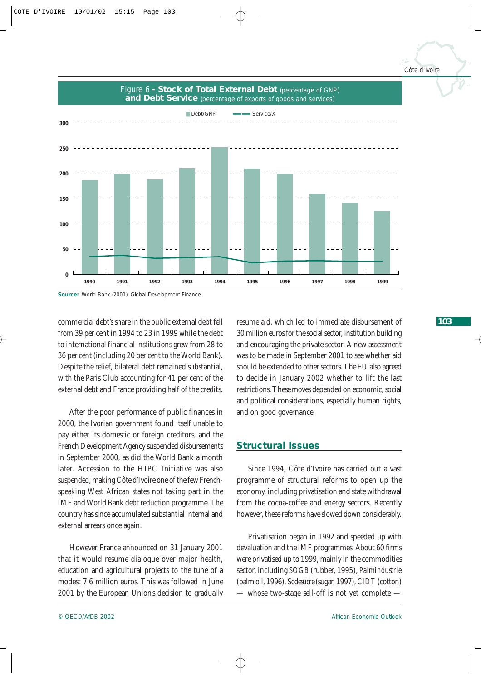

**Source:** World Bank (2001), *Global Development Finance.*

commercial debt's share in the public external debt fell from 39 per cent in 1994 to 23 in 1999 while the debt to international financial institutions grew from 28 to 36 per cent (including 20 per cent to the World Bank). Despite the relief, bilateral debt remained substantial, with the Paris Club accounting for 41 per cent of the external debt and France providing half of the credits.

After the poor performance of public finances in 2000, the Ivorian government found itself unable to pay either its domestic or foreign creditors, and the French Development Agency suspended disbursements in September 2000, as did the World Bank a month later. Accession to the HIPC Initiative was also suspended, making Côte d'Ivoire one of the few Frenchspeaking West African states not taking part in the IMF and World Bank debt reduction programme. The country has since accumulated substantial internal and external arrears once again.

However France announced on 31 January 2001 that it would resume dialogue over major health, education and agricultural projects to the tune of a modest 7.6 million euros. This was followed in June 2001 by the European Union's decision to gradually

resume aid, which led to immediate disbursement of 30 million euros for the social sector, institution building and encouraging the private sector. A new assessment was to be made in September 2001 to see whether aid should be extended to other sectors. The EU also agreed to decide in January 2002 whether to lift the last restrictions. These moves depended on economic, social and political considerations, especially human rights, and on good governance.

#### **Structural Issues**

Since 1994, Côte d'Ivoire has carried out a vast programme of structural reforms to open up the economy, including privatisation and state withdrawal from the cocoa-coffee and energy sectors. Recently however, these reforms have slowed down considerably.

Privatisation began in 1992 and speeded up with devaluation and the IMF programmes. About 60 firms were privatised up to 1999, mainly in the commodities sector, including *SOGB* (rubber, 1995), *Palmindustrie* (palm oil, 1996), *Sodesucre* (sugar, 1997), *CIDT* (cotton) — whose two-stage sell-off is not yet complete —

*103*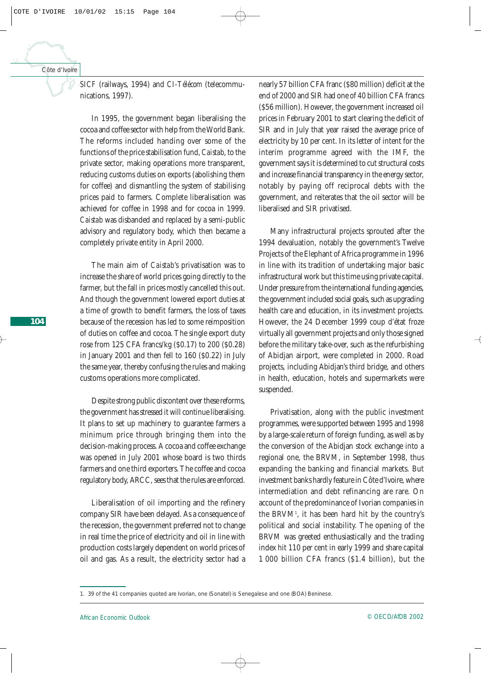*SICF* (railways, 1994) and *CI-Télécom* (telecommunications, 1997).

In 1995, the government began liberalising the cocoa and coffee sector with help from the World Bank. The reforms included handing over some of the functions of the price stabilisation fund, *Caistab*, to the private sector, making operations more transparent, reducing customs duties on exports (abolishing them for coffee) and dismantling the system of stabilising prices paid to farmers. Complete liberalisation was achieved for coffee in 1998 and for cocoa in 1999. *Caistab* was disbanded and replaced by a semi-public advisory and regulatory body, which then became a completely private entity in April 2000.

The main aim of *Caistab*'s privatisation was to increase the share of world prices going directly to the farmer, but the fall in prices mostly cancelled this out. And though the government lowered export duties at a time of growth to benefit farmers, the loss of taxes because of the recession has led to some reimposition of duties on coffee and cocoa. The single export duty rose from 125 CFA francs/kg (\$0.17) to 200 (\$0.28) in January 2001 and then fell to 160 (\$0.22) in July the same year, thereby confusing the rules and making customs operations more complicated.

Despite strong public discontent over these reforms, the government has stressed it will continue liberalising. It plans to set up machinery to guarantee farmers a minimum price through bringing them into the decision-making process. A cocoa and coffee exchange was opened in July 2001 whose board is two thirds farmers and one third exporters. The coffee and cocoa regulatory body, ARCC, sees that the rules are enforced.

Liberalisation of oil importing and the refinery company SIR have been delayed. As a consequence of the recession, the government preferred not to change in real time the price of electricity and oil in line with production costs largely dependent on world prices of oil and gas. As a result, the electricity sector had a

nearly 57 billion CFA franc (\$80 million) deficit at the end of 2000 and SIR had one of 40 billion CFA francs (\$56 million). However, the government increased oil prices in February 2001 to start clearing the deficit of SIR and in July that year raised the average price of electricity by 10 per cent. In its letter of intent for the interim programme agreed with the IMF, the government says it is determined to cut structural costs and increase financial transparency in the energy sector, notably by paying off reciprocal debts with the government, and reiterates that the oil sector will be liberalised and SIR privatised.

Many infrastructural projects sprouted after the 1994 devaluation, notably the government's Twelve Projects of the Elephant of Africa programme in 1996 in line with its tradition of undertaking major basic infrastructural work but this time using private capital. Under pressure from the international funding agencies, the government included social goals, such as upgrading health care and education, in its investment projects. However, the 24 December 1999 coup d'état froze virtually all government projects and only those signed before the military take-over, such as the refurbishing of Abidjan airport, were completed in 2000. Road projects, including Abidjan's third bridge, and others in health, education, hotels and supermarkets were suspended.

Privatisation, along with the public investment programmes, were supported between 1995 and 1998 by a large-scale return of foreign funding, as well as by the conversion of the Abidjan stock exchange into a regional one, the BRVM, in September 1998, thus expanding the banking and financial markets. But investment banks hardly feature in Côte d'Ivoire, where intermediation and debt refinancing are rare. On account of the predominance of Ivorian companies in the BRVM1 , it has been hard hit by the country's political and social instability. The opening of the BRVM was greeted enthusiastically and the trading index hit 110 per cent in early 1999 and share capital 1 000 billion CFA francs (\$1.4 billion), but the

<sup>1. 39</sup> of the 41 companies quoted are Ivorian, one (*Sonatel*) is Senegalese and one *(BOA)* Beninese.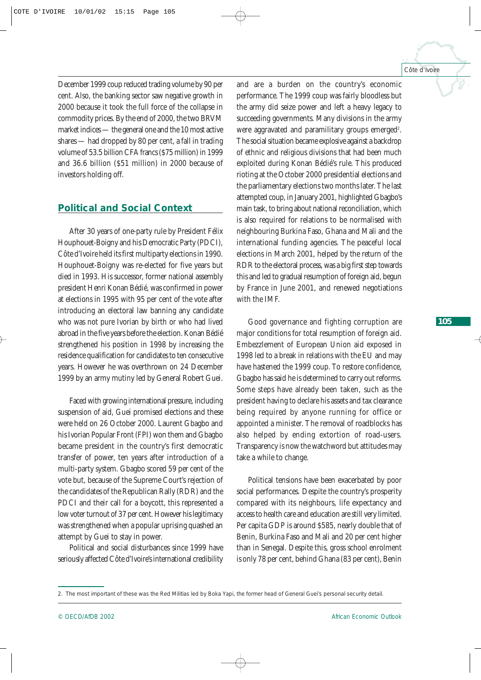December 1999 coup reduced trading volume by 90 per cent. Also, the banking sector saw negative growth in 2000 because it took the full force of the collapse in commodity prices. By the end of 2000, the two BRVM market indices — the general one and the 10 most active shares — had dropped by 80 per cent, a fall in trading volume of 53.5 billion CFA francs (\$75 million) in 1999 and 36.6 billion (\$51 million) in 2000 because of investors holding off.

### **Political and Social Context**

After 30 years of one-party rule by President Félix Houphouet-Boigny and his Democratic Party (PDCI), Côte d'Ivoire held its first multiparty elections in 1990. Houphouet-Boigny was re-elected for five years but died in 1993. His successor, former national assembly president Henri Konan Bédié, was confirmed in power at elections in 1995 with 95 per cent of the vote after introducing an electoral law banning any candidate who was not pure Ivorian by birth or who had lived abroad in the five years before the election. Konan Bédié strengthened his position in 1998 by increasing the residence qualification for candidates to ten consecutive years. However he was overthrown on 24 December 1999 by an army mutiny led by General Robert Guei.

Faced with growing international pressure, including suspension of aid, Guei promised elections and these were held on 26 October 2000. Laurent Gbagbo and his Ivorian Popular Front (FPI) won them and Gbagbo became president in the country's first democratic transfer of power, ten years after introduction of a multi-party system. Gbagbo scored 59 per cent of the vote but, because of the Supreme Court's rejection of the candidates of the Republican Rally (RDR) and the PDCI and their call for a boycott, this represented a low voter turnout of 37 per cent. However his legitimacy was strengthened when a popular uprising quashed an attempt by Guei to stay in power.

Political and social disturbances since 1999 have seriously affected Côte d'Ivoire's international credibility

and are a burden on the country's economic performance. The 1999 coup was fairly bloodless but the army did seize power and left a heavy legacy to succeeding governments. Many divisions in the army were aggravated and paramilitary groups emerged $^{\text{2}}$ . The social situation became explosive against a backdrop of ethnic and religious divisions that had been much exploited during Konan Bédié's rule. This produced rioting at the October 2000 presidential elections and the parliamentary elections two months later. The last attempted coup, in January 2001, highlighted Gbagbo's main task, to bring about national reconciliation, which is also required for relations to be normalised with neighbouring Burkina Faso, Ghana and Mali and the international funding agencies. The peaceful local elections in March 2001, helped by the return of the RDR to the electoral process, was a big first step towards this and led to gradual resumption of foreign aid, begun by France in June 2001, and renewed negotiations with the IMF.

Good governance and fighting corruption are major conditions for total resumption of foreign aid. Embezzlement of European Union aid exposed in 1998 led to a break in relations with the EU and may have hastened the 1999 coup. To restore confidence, Gbagbo has said he is determined to carry out reforms. Some steps have already been taken, such as the president having to declare his assets and tax clearance being required by anyone running for office or appointed a minister. The removal of roadblocks has also helped by ending extortion of road-users. Transparency is now the watchword but attitudes may take a while to change.

Political tensions have been exacerbated by poor social performances. Despite the country's prosperity compared with its neighbours, life expectancy and access to health care and education are still very limited. Per capita GDP is around \$585, nearly double that of Benin, Burkina Faso and Mali and 20 per cent higher than in Senegal. Despite this, gross school enrolment is only 78 per cent, behind Ghana (83 per cent), Benin

Côte d'Ivoire

*105*

<sup>2.</sup> The most important of these was the Red Militias led by Boka Yapi, the former head of General Guei's personal security detail.